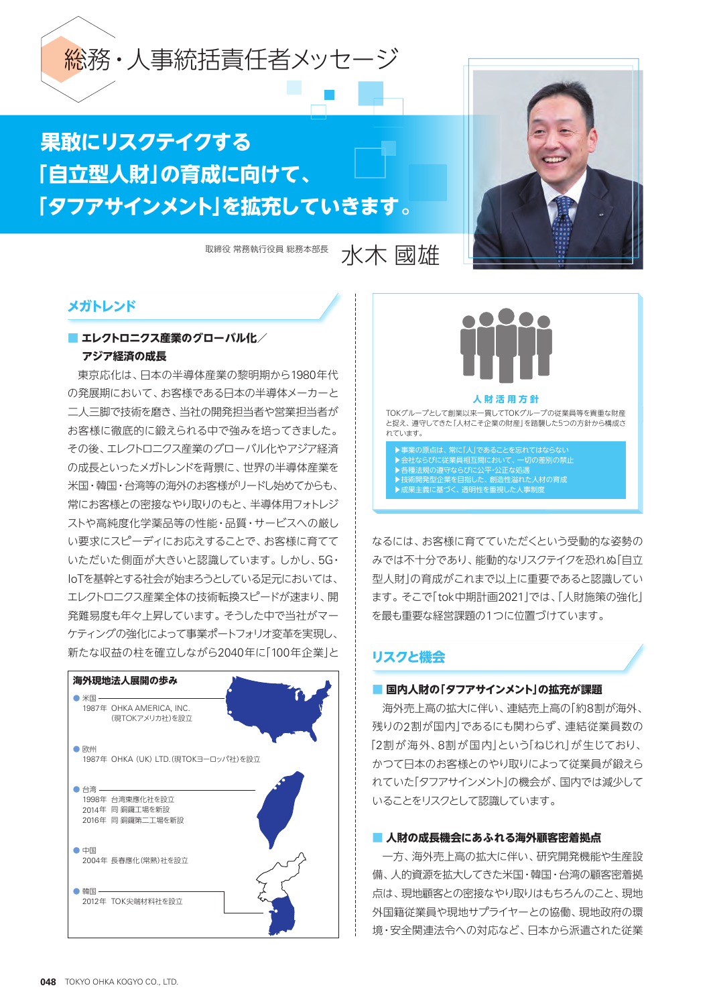

# **果敢にリスクテイクする 「自立型人財」の育成に向けて、 「タフアサインメント」を拡充していきます。**

取締役常務執行役員総務本部長 水木 國旅生



# **メガトレンド**

# **■ エレクトロニクス産業のグローバル化/ アジア経済の成長**

東京応化は、日本の半導体産業の黎明期から1980年代 の発展期において、お客様である日本の半導体メーカーと 二人三脚で技術を磨き、当社の開発担当者や営業担当者が お客様に徹底的に鍛えられる中で強みを培ってきました。 その後、エレクトロニクス産業のグローバル化やアジア経済 の成長といったメガトレンドを背景に、世界の半導体産業を 米国・韓国・台湾等の海外のお客様がリードし始めてからも、 常にお客様との密接なやり取りのもと、半導体用フォトレジ ストや高純度化学薬品等の性能・品質・サービスへの厳し い要求にスピーディにお応えすることで、お客様に育てて いただいた側面が大きいと認識しています。しかし、5G・ IoTを基幹とする社会が始まろうとしている足元においては、 エレクトロニクス産業全体の技術転換スピードが速まり、開 発難易度も年々上昇しています。そうした中で当社がマー ケティングの強化によって事業ポートフォリオ変革を実現し、 新たな収益の柱を確立しながら2040年に「100年企業」と





TOKグループとして創業以来一貫してTOKグループの従業員等を貴重な財産 と捉え、遵守してきた「人材こそ企業の財産」を踏襲した5つの方針から構成さ れています。

▶事業の原点は、常に「人」であることを忘れてはならない ▶会社ならびに従業員相互間において、一切の差別の禁止 ▶各種法規の遵守ならびに公平・公正な処遇 ま術開発型企業を目指した、創造性溢れた人材の育成 ▶成果主義に基づく、透明性を重視した人事制度

なるには、お客様に育てていただくという受動的な姿勢の みでは不十分であり、能動的なリスクテイクを恐れぬ「自立 型人財」の育成がこれまで以上に重要であると認識してい ます。そこで「tok中期計画2021」では、「人財施策の強化」 を最も重要な経営課題の1つに位置づけています。

# **リスクと機会**

## **■ 国内人財の「タフアサインメント」の拡充が課題**

海外売上高の拡大に伴い、連結売上高の「約8割が海外、 残りの2割が国内」であるにも関わらず、連結従業員数の 「2割が海外、8割が国内」という「ねじれ」が生じており、 かつて日本のお客様とのやり取りによって従業員が鍛えら れていた「タフアサインメント」の機会が、国内では減少して いることをリスクとして認識しています。

## **■ 人財の成長機会にあふれる海外顧客密着拠点**

一方、海外売上高の拡大に伴い、研究開発機能や生産設 備、人的資源を拡大してきた米国・韓国・台湾の顧客密着拠 点は、現地顧客との密接なやり取りはもちろんのこと、現地 外国籍従業員や現地サプライヤーとの協働、現地政府の環 境・安全関連法令への対応など、日本から派遣された従業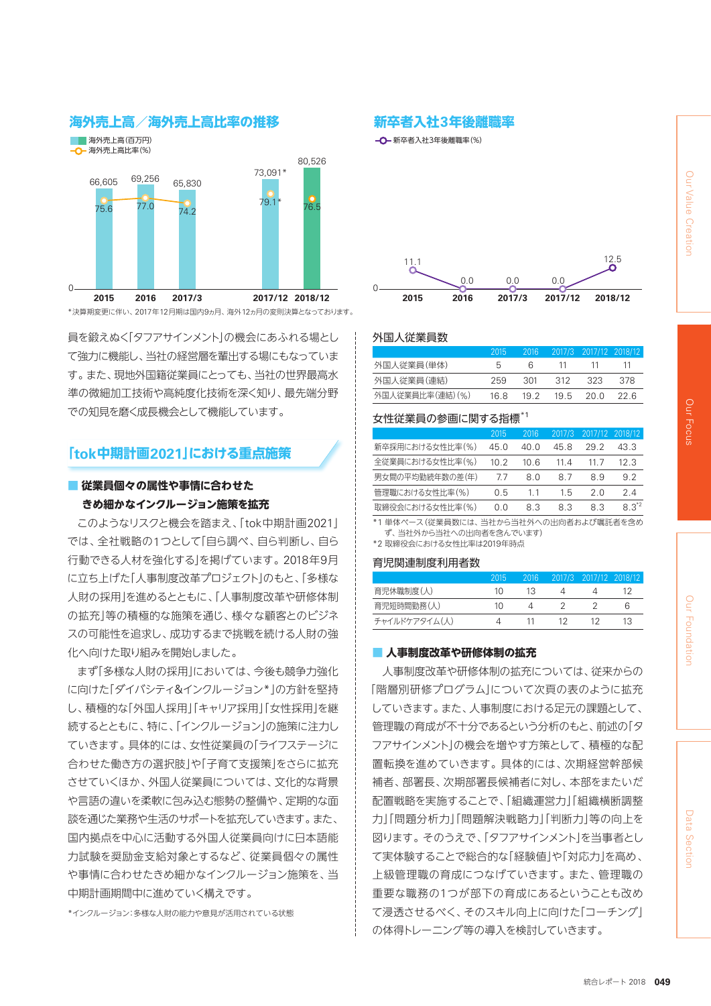



\*決算期変更に伴い、2017年12月期は国内9ヵ月、海外12ヵ月の変則決算となっております。

員を鍛えぬく「タフアサインメント」の機会にあふれる場とし て強力に機能し、当社の経営層を輩出する場にもなっていま す。また、現地外国籍従業員にとっても、当社の世界最高水 準の微細加工技術や高純度化技術を深く知り、最先端分野 での知見を磨く成長機会として機能しています。

## **「tok中期計画2021」における重点施策**

## **■ 従業員個々の属性や事情に合わせた きめ細かなインクルージョン施策を拡充**

このようなリスクと機会を踏まえ、「tok中期計画2021」 では、全社戦略の1つとして「自ら調べ、自ら判断し、自ら 行動できる人材を強化する」を掲げています。2018年9月 に立ち上げた「人事制度改革プロジェクト」のもと、「多様な 人財の採用」を進めるとともに、「人事制度改革や研修体制 の拡充」等の積極的な施策を通じ、様々な顧客とのビジネ スの可能性を追求し、成功するまで挑戦を続ける人財の強 化へ向けた取り組みを開始しました。

まず「多様な人財の採用」においては、今後も競争力強化 に向けた「ダイバシティ&インクルージョン\*」の方針を堅持 し、積極的な「外国人採用」「キャリア採用」「女性採用」を継 続するとともに、特に、「インクルージョン」の施策に注力し ていきます。具体的には、女性従業員の「ライフステージに 合わせた働き方の選択肢」や「子育て支援策」をさらに拡充 させていくほか、外国人従業員については、文化的な背景 や言語の違いを柔軟に包み込む態勢の整備や、定期的な面 談を通じた業務や生活のサポートを拡充していきます。また、 国内拠点を中心に活動する外国人従業員向けに日本語能 力試験を奨励金支給対象とするなど、従業員個々の属性 や事情に合わせたきめ細かなインクルージョン施策を、当 中期計画期間中に進めていく構えです。

\*インクルージョン:多様な人財の能力や意見が活用されている状態

**一〇**一新卒者入社3年後離職率(%)



#### 外国人従業員数

|                 | 2015 |       |     | 2016 2017/3 2017/12 2018/12 |     |
|-----------------|------|-------|-----|-----------------------------|-----|
| 外国人従業員(単体)      | h    | 6.    | -11 | -11-                        | -11 |
| 外国人従業員(連結)      | 259  | - 301 |     | 312 323                     | 378 |
| 外国人従業員比率(連結)(%) | 16.8 | 19.2  |     | 19.5 20.0 22.6              |     |

#### 女性従業員の参画に関する指標\*1

|      | 2016 | 2017/3 | 2017/12 | 2018/12   |
|------|------|--------|---------|-----------|
| 45 O | 40 O | 45.8   | 29.2    | 43.3      |
| 10.2 | 10 6 | 11 4   | 11 7    | 12 3      |
| 77   | 80   | 87     | 89      | 92        |
| 05   | 11   | 15     | 2 O     | 24        |
| ი ი  | 83   | 83     | 83      | $8.3^{2}$ |
|      |      |        |         |           |

\*1 単体ベース(従業員数には、当社から当社外への出向者および嘱託者を含め ず、当社外から当社への出向者を含んでいます)

\*2 取締役会における女性比率は2019年時点

#### 育児関連制度利用者数

|               | 2015 | 2016 | 2017/3 2017/12 2018/12 |   |
|---------------|------|------|------------------------|---|
| 育児休職制度(人)     | 10   | 13   |                        |   |
| 育児短時間勤務(人)    | 10   |      |                        | h |
| チャイルドケアタイム(人) |      |      |                        |   |

#### **■ 人事制度改革や研修体制の拡充**

人事制度改革や研修体制の拡充については、従来からの 「階層別研修プログラム」について次頁の表のように拡充 していきます。また、人事制度における足元の課題として、 管理職の育成が不十分であるという分析のもと、前述の「タ フアサインメント」の機会を増やす方策として、積極的な配 置転換を進めていきます。具体的には、次期経営幹部候 補者、部署長、次期部署長候補者に対し、本部をまたいだ 配置戦略を実施することで、「組織運営力」「組織横断調整 力」「問題分析力」「問題解決戦略力」「判断力」等の向上を 図ります。そのうえで、「タフアサインメント」を当事者とし て実体験することで総合的な「経験値」や「対応力」を高め、 上級管理職の育成につなげていきます。また、管理職の 重要な職務の1つが部下の育成にあるということも改め て浸透させるべく、そのスキル向上に向けた「コーチング」 の体得トレーニング等の導入を検討していきます。

統合レポート 2018 **049**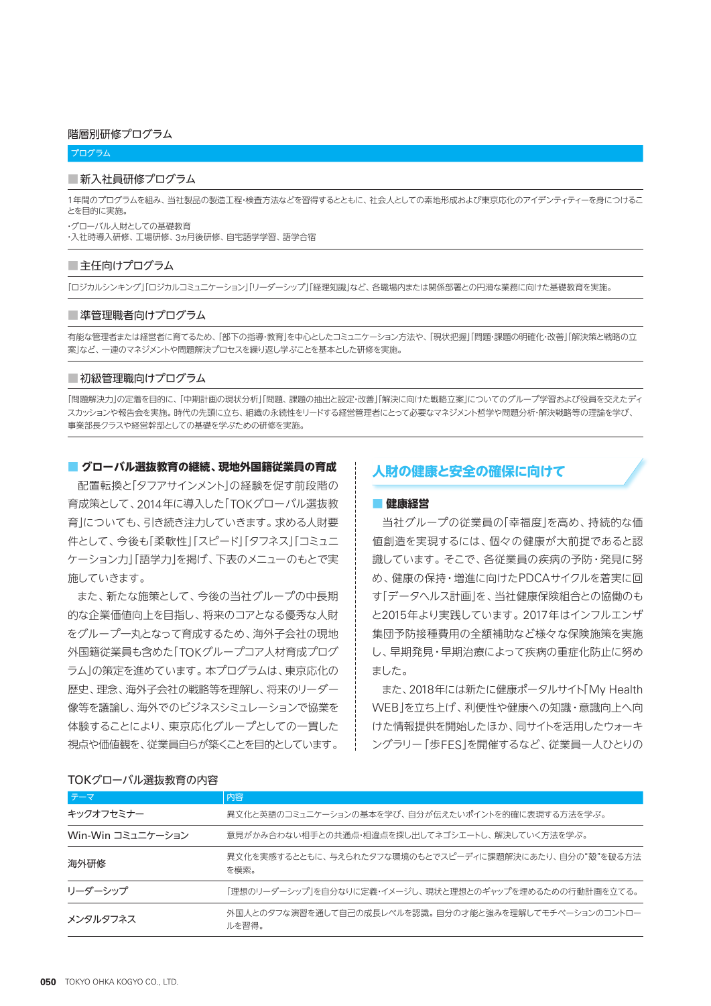#### 階層別研修プログラム

#### プログラム

#### ■新入社員研修プログラム

1年間のプログラムを組み、当社製品の製造工程・検査方法などを習得するとともに、社会人としての素地形成および東京応化のアイデンティティーを身につけるこ とを目的に実施。

・グローバル人財としての基礎教育 ・入社時導入研修、工場研修、3ヵ月後研修、自宅語学学習、語学合宿

#### ■主任向けプログラム

「ロジカルシンキング」「ロジカルコミュニケーション」「リーダーシップ」「経理知識」など、各職場内または関係部署との円滑な業務に向けた基礎教育を実施。

#### ■ 準管理職者向けプログラム

有能な管理者または経営者に育てるため、「部下の指導・教育」を中心としたコミュニケーション方法や、「現状把握」「問題・課題の明確化・改善」「解決策と戦略の立 案」など、一連のマネジメントや問題解決プロセスを繰り返し学ぶことを基本とした研修を実施。

#### ■ 初級管理職向けプログラム

「問題解決力」の定着を目的に、「中期計画の現状分析」「問題、課題の抽出と設定・改善」「解決に向けた戦略立案」についてのグループ学習および役員を交えたディ スカッションや報告会を実施。時代の先頭に立ち、組織の永続性をリードする経営管理者にとって必要なマネジメント哲学や問題分析・解決戦略等の理論を学び、 事業部長クラスや経営幹部としての基礎を学ぶための研修を実施。

#### ■ **グローバル選抜教育の継続、現地外国籍従業員の育成**

配置転換と「タフアサインメント」の経験を促す前段階の 育成策として、2014年に導入した「TOKグローバル選抜教 育」についても、引き続き注力していきます。求める人財要 件として、今後も「柔軟性」「スピード」「タフネス」「コミュニ ケーション力」「語学力」を掲げ、下表のメニューのもとで実 施していきます。

また、新たな施策として、今後の当社グループの中長期 的な企業価値向上を目指し、将来のコアとなる優秀な人財 をグループ一丸となって育成するため、海外子会社の現地 外国籍従業員も含めた「TOKグループコア人材育成プログ ラム」の策定を進めています。本プログラムは、東京応化の 歴史、理念、海外子会社の戦略等を理解し、将来のリーダー 像等を議論し、海外でのビジネスシミュレーションで協業を 体験することにより、東京応化グループとしての一貫した 視点や価値観を、従業員自らが築くことを目的としています。

### **人財の健康と安全の確保に向けて**

#### ■ **健康経営**

当社グループの従業員の「幸福度」を高め、持続的な価 値創造を実現するには、個々の健康が大前提であると認 識しています。そこで、各従業員の疾病の予防・発見に努 め、健康の保持・増進に向けたPDCAサイクルを着実に回 す「データヘルス計画」を、当社健康保険組合との協働のも と2015年より実践しています。2017年はインフルエンザ 集団予防接種費用の全額補助など様々な保険施策を実施 し、早期発見・早期治療によって疾病の重症化防止に努め ました。

また、2018年には新たに健康ポータルサイト「My Health WEB」を立ち上げ、利便性や健康への知識・意識向上へ向 けた情報提供を開始したほか、同サイトを活用したウォーキ ングラリー「歩FES」を開催するなど、従業員一人ひとりの

#### TOKグローバル選抜教育の内容

| テーマ               | 内容                                                            |
|-------------------|---------------------------------------------------------------|
| キックオフセミナー         | 異文化と英語のコミュニケーションの基本を学び、自分が伝えたいポイントを的確に表現する方法を学ぶ。              |
| Win-Win コミュニケーション | 意見がかみ合わない相手との共通点・相違点を探し出してネゴシエートし、解決していく方法を学ぶ。                |
| 海外研修              | 異文化を実感するとともに、与えられたタフな環境のもとでスピーディに課題解決にあたり、自分の"殻"を破る方法<br>を模索。 |
| リーダーシップ           | 「理想のリーダーシップ」を自分なりに定義・イメージし、現状と理想とのギャップを埋めるための行動計画を立てる。        |
| メンタルタフネス          | 外国人とのタフな演習を通して自己の成長レベルを認識。自分の才能と強みを理解してモチベーションのコントロー<br>ルを習得。 |